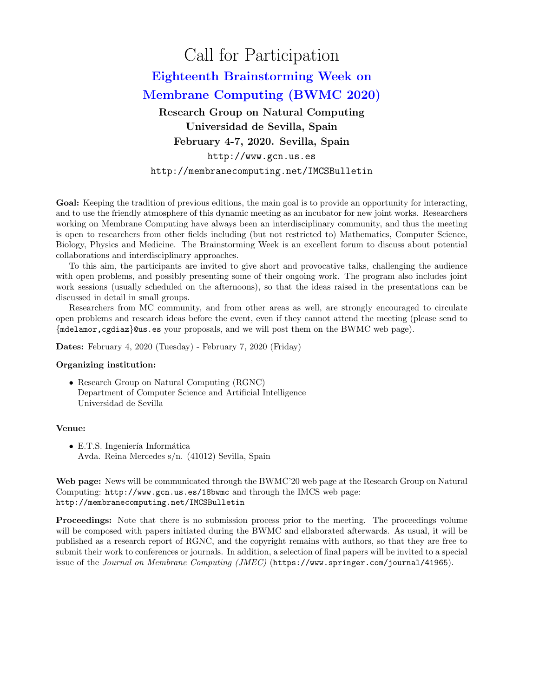# Call for Participation Eighteenth Brainstorming Week on Membrane Computing (BWMC 2020) Research Group on Natural Computing Universidad de Sevilla, Spain February 4-7, 2020. Sevilla, Spain

http://www.gcn.us.es http://membranecomputing.net/IMCSBulletin

Goal: Keeping the tradition of previous editions, the main goal is to provide an opportunity for interacting, and to use the friendly atmosphere of this dynamic meeting as an incubator for new joint works. Researchers working on Membrane Computing have always been an interdisciplinary community, and thus the meeting is open to researchers from other fields including (but not restricted to) Mathematics, Computer Science, Biology, Physics and Medicine. The Brainstorming Week is an excellent forum to discuss about potential collaborations and interdisciplinary approaches.

To this aim, the participants are invited to give short and provocative talks, challenging the audience with open problems, and possibly presenting some of their ongoing work. The program also includes joint work sessions (usually scheduled on the afternoons), so that the ideas raised in the presentations can be discussed in detail in small groups.

Researchers from MC community, and from other areas as well, are strongly encouraged to circulate open problems and research ideas before the event, even if they cannot attend the meeting (please send to {mdelamor,cgdiaz}@us.es your proposals, and we will post them on the BWMC web page).

Dates: February 4, 2020 (Tuesday) - February 7, 2020 (Friday)

## Organizing institution:

• Research Group on Natural Computing (RGNC) Department of Computer Science and Artificial Intelligence Universidad de Sevilla

#### Venue:

 $\bullet$  E.T.S. Ingeniería Informática Avda. Reina Mercedes s/n. (41012) Sevilla, Spain

Web page: News will be communicated through the BWMC'20 web page at the Research Group on Natural Computing: http://www.gcn.us.es/18bwmc and through the IMCS web page: http://membranecomputing.net/IMCSBulletin

Proceedings: Note that there is no submission process prior to the meeting. The proceedings volume will be composed with papers initiated during the BWMC and ellaborated afterwards. As usual, it will be published as a research report of RGNC, and the copyright remains with authors, so that they are free to submit their work to conferences or journals. In addition, a selection of final papers will be invited to a special issue of the Journal on Membrane Computing (JMEC) (https://www.springer.com/journal/41965).